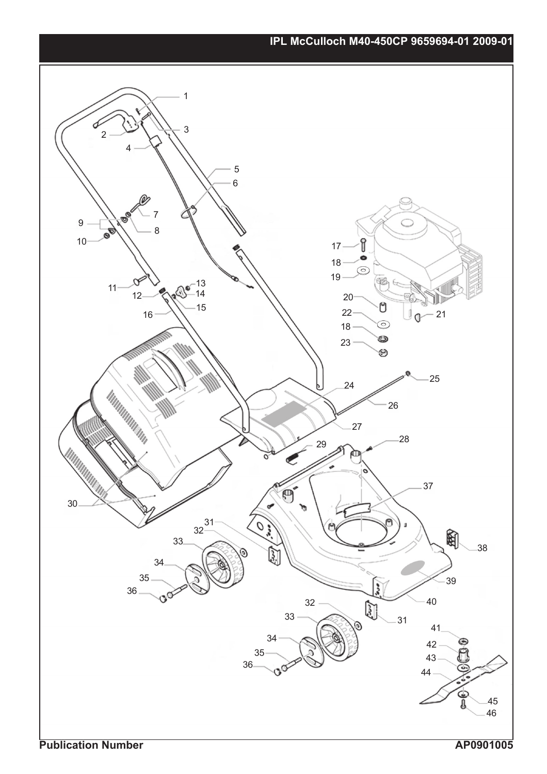## **IPL McCulloch M40-450CP 9659694-01 2009-01**